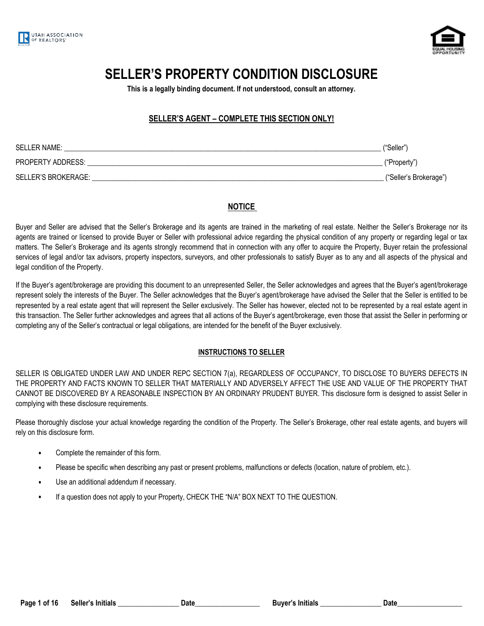



# **SELLER'S PROPERTY CONDITION DISCLOSURE**

**This is a legally binding document. If not understood, consult an attorney.**

## **SELLER'S AGENT – COMPLETE THIS SECTION ONLY!**

| SELLER NAME:        | ("Seller")             |
|---------------------|------------------------|
| PROPERTY ADDRESS:   | ("Property")           |
| SELLER'S BROKERAGE: | ("Seller's Brokerage") |

#### **NOTICE**

Buyer and Seller are advised that the Seller's Brokerage and its agents are trained in the marketing of real estate. Neither the Seller's Brokerage nor its agents are trained or licensed to provide Buyer or Seller with professional advice regarding the physical condition of any property or regarding legal or tax matters. The Seller's Brokerage and its agents strongly recommend that in connection with any offer to acquire the Property, Buyer retain the professional services of legal and/or tax advisors, property inspectors, surveyors, and other professionals to satisfy Buyer as to any and all aspects of the physical and legal condition of the Property.

If the Buyer's agent/brokerage are providing this document to an unrepresented Seller, the Seller acknowledges and agrees that the Buyer's agent/brokerage represent solely the interests of the Buyer. The Seller acknowledges that the Buyer's agent/brokerage have advised the Seller that the Seller is entitled to be represented by a real estate agent that will represent the Seller exclusively. The Seller has however, elected not to be represented by a real estate agent in this transaction. The Seller further acknowledges and agrees that all actions of the Buyer's agent/brokerage, even those that assist the Seller in performing or completing any of the Seller's contractual or legal obligations, are intended for the benefit of the Buyer exclusively.

#### **INSTRUCTIONS TO SELLER**

SELLER IS OBLIGATED UNDER LAW AND UNDER REPC SECTION 7(a), REGARDLESS OF OCCUPANCY, TO DISCLOSE TO BUYERS DEFECTS IN THE PROPERTY AND FACTS KNOWN TO SELLER THAT MATERIALLY AND ADVERSELY AFFECT THE USE AND VALUE OF THE PROPERTY THAT CANNOT BE DISCOVERED BY A REASONABLE INSPECTION BY AN ORDINARY PRUDENT BUYER. This disclosure form is designed to assist Seller in complying with these disclosure requirements.

Please thoroughly disclose your actual knowledge regarding the condition of the Property. The Seller's Brokerage, other real estate agents, and buyers will rely on this disclosure form.

- **•** Complete the remainder of this form.
- **•** Please be specific when describing any past or present problems, malfunctions or defects (location, nature of problem, etc.).
- **•** Use an additional addendum if necessary.
- **•** If a question does not apply to your Property, CHECK THE "N/A" BOX NEXT TO THE QUESTION.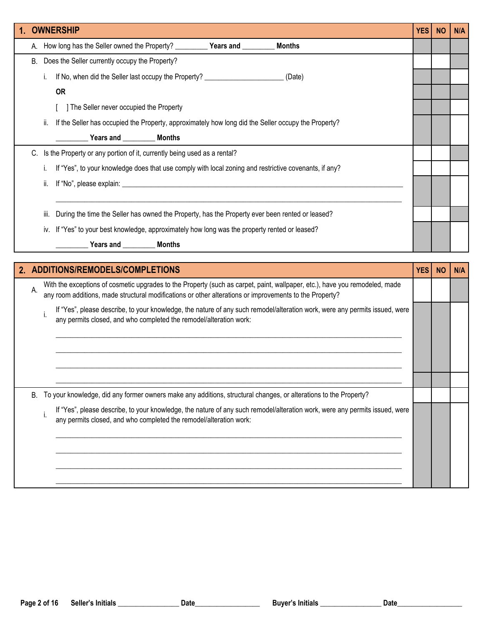|      | <b>OWNERSHIP</b>                                                                                                                                                                                                                       | <b>YES</b> | <b>NO</b> | N/A |
|------|----------------------------------------------------------------------------------------------------------------------------------------------------------------------------------------------------------------------------------------|------------|-----------|-----|
|      | <b>Months</b>                                                                                                                                                                                                                          |            |           |     |
| В.   | Does the Seller currently occupy the Property?                                                                                                                                                                                         |            |           |     |
| İ.   | If No, when did the Seller last occupy the Property? ___________________________ (Date)                                                                                                                                                |            |           |     |
|      | <b>OR</b>                                                                                                                                                                                                                              |            |           |     |
|      | The Seller never occupied the Property                                                                                                                                                                                                 |            |           |     |
| ii.  | If the Seller has occupied the Property, approximately how long did the Seller occupy the Property?                                                                                                                                    |            |           |     |
|      | Vears and ___________ Months                                                                                                                                                                                                           |            |           |     |
|      | C. Is the Property or any portion of it, currently being used as a rental?                                                                                                                                                             |            |           |     |
| Ť.   | If "Yes", to your knowledge does that use comply with local zoning and restrictive covenants, if any?                                                                                                                                  |            |           |     |
| ii.  |                                                                                                                                                                                                                                        |            |           |     |
| iii. | During the time the Seller has owned the Property, has the Property ever been rented or leased?                                                                                                                                        |            |           |     |
|      | iv. If "Yes" to your best knowledge, approximately how long was the property rented or leased?                                                                                                                                         |            |           |     |
|      |                                                                                                                                                                                                                                        |            |           |     |
|      | Years and __________ Months                                                                                                                                                                                                            |            |           |     |
|      |                                                                                                                                                                                                                                        |            |           |     |
|      | 2. ADDITIONS/REMODELS/COMPLETIONS                                                                                                                                                                                                      | <b>YES</b> | <b>NO</b> | N/A |
| А.   | With the exceptions of cosmetic upgrades to the Property (such as carpet, paint, wallpaper, etc.), have you remodeled, made<br>any room additions, made structural modifications or other alterations or improvements to the Property? |            |           |     |
| i.   | If "Yes", please describe, to your knowledge, the nature of any such remodel/alteration work, were any permits issued, were<br>any permits closed, and who completed the remodel/alteration work:                                      |            |           |     |
|      |                                                                                                                                                                                                                                        |            |           |     |
|      |                                                                                                                                                                                                                                        |            |           |     |
|      |                                                                                                                                                                                                                                        |            |           |     |
|      |                                                                                                                                                                                                                                        |            |           |     |
| В.   | To your knowledge, did any former owners make any additions, structural changes, or alterations to the Property?                                                                                                                       |            |           |     |
| i.   | If "Yes", please describe, to your knowledge, the nature of any such remodel/alteration work, were any permits issued, were<br>any permits closed, and who completed the remodel/alteration work:                                      |            |           |     |
|      |                                                                                                                                                                                                                                        |            |           |     |
|      |                                                                                                                                                                                                                                        |            |           |     |
|      |                                                                                                                                                                                                                                        |            |           |     |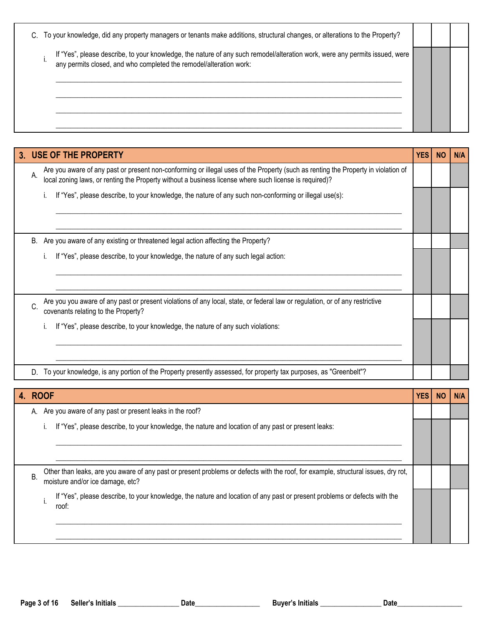| If "Yes", please describe, to your knowledge, the nature of any such remodel/alteration work, were any permits issued, were<br>any permits closed, and who completed the remodel/alteration work: | C. To your knowledge, did any property managers or tenants make additions, structural changes, or alterations to the Property? |  |  |
|---------------------------------------------------------------------------------------------------------------------------------------------------------------------------------------------------|--------------------------------------------------------------------------------------------------------------------------------|--|--|
|                                                                                                                                                                                                   |                                                                                                                                |  |  |

|    | 3. USE OF THE PROPERTY                                                                                                                                                                                                                      | <b>YES</b> | <b>NO</b> | <b>N/A</b> |
|----|---------------------------------------------------------------------------------------------------------------------------------------------------------------------------------------------------------------------------------------------|------------|-----------|------------|
| Α. | Are you aware of any past or present non-conforming or illegal uses of the Property (such as renting the Property in violation of<br>local zoning laws, or renting the Property without a business license where such license is required)? |            |           |            |
|    | If "Yes", please describe, to your knowledge, the nature of any such non-conforming or illegal use(s):                                                                                                                                      |            |           |            |
|    |                                                                                                                                                                                                                                             |            |           |            |
| B. | Are you aware of any existing or threatened legal action affecting the Property?                                                                                                                                                            |            |           |            |
|    | If "Yes", please describe, to your knowledge, the nature of any such legal action:                                                                                                                                                          |            |           |            |
|    |                                                                                                                                                                                                                                             |            |           |            |
| C. | Are you you aware of any past or present violations of any local, state, or federal law or regulation, or of any restrictive<br>covenants relating to the Property?                                                                         |            |           |            |
|    | If "Yes", please describe, to your knowledge, the nature of any such violations:                                                                                                                                                            |            |           |            |
|    |                                                                                                                                                                                                                                             |            |           |            |
|    | To your knowledge, is any portion of the Property presently assessed, for property tax purposes, as "Greenbelt"?                                                                                                                            |            |           |            |

|    | 4. ROOF                                                                                                                                                                | <b>YES</b> | <b>NO</b> | N/A |
|----|------------------------------------------------------------------------------------------------------------------------------------------------------------------------|------------|-----------|-----|
|    | A. Are you aware of any past or present leaks in the roof?                                                                                                             |            |           |     |
|    | If "Yes", please describe, to your knowledge, the nature and location of any past or present leaks:                                                                    |            |           |     |
|    |                                                                                                                                                                        |            |           |     |
| Β. | Other than leaks, are you aware of any past or present problems or defects with the roof, for example, structural issues, dry rot,<br>moisture and/or ice damage, etc? |            |           |     |
|    | If "Yes", please describe, to your knowledge, the nature and location of any past or present problems or defects with the<br>roof:                                     |            |           |     |
|    |                                                                                                                                                                        |            |           |     |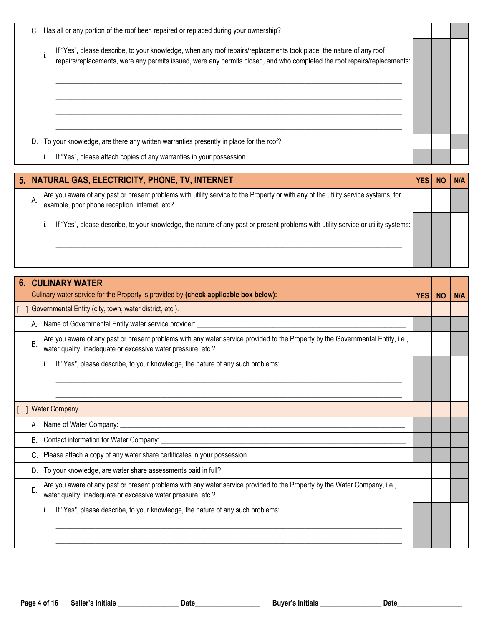|    | C. Has all or any portion of the roof been repaired or replaced during your ownership?                                                                                                                                                          |  |  |
|----|-------------------------------------------------------------------------------------------------------------------------------------------------------------------------------------------------------------------------------------------------|--|--|
|    | If "Yes", please describe, to your knowledge, when any roof repairs/replacements took place, the nature of any roof<br>repairs/replacements, were any permits issued, were any permits closed, and who completed the roof repairs/replacements: |  |  |
| D. | To your knowledge, are there any written warranties presently in place for the roof?                                                                                                                                                            |  |  |
|    | If "Yes", please attach copies of any warranties in your possession.                                                                                                                                                                            |  |  |

|    | 5. NATURAL GAS, ELECTRICITY, PHONE, TV, INTERNET                                                                                                                                    |  |  |
|----|-------------------------------------------------------------------------------------------------------------------------------------------------------------------------------------|--|--|
| А. | Are you aware of any past or present problems with utility service to the Property or with any of the utility service systems, for<br>example, poor phone reception, internet, etc? |  |  |
|    | If "Yes", please describe, to your knowledge, the nature of any past or present problems with utility service or utility systems:                                                   |  |  |

|    | <b>CULINARY WATER</b>                                                                                                                                                                           |            |           |            |
|----|-------------------------------------------------------------------------------------------------------------------------------------------------------------------------------------------------|------------|-----------|------------|
|    | Culinary water service for the Property is provided by (check applicable box below):                                                                                                            | <b>YES</b> | <b>NO</b> | <b>N/A</b> |
|    | Governmental Entity (city, town, water district, etc.).                                                                                                                                         |            |           |            |
|    | Name of Governmental Entity water service provider: _____________________________                                                                                                               |            |           |            |
| Β. | Are you aware of any past or present problems with any water service provided to the Property by the Governmental Entity, i.e.,<br>water quality, inadequate or excessive water pressure, etc.? |            |           |            |
|    | If "Yes", please describe, to your knowledge, the nature of any such problems:                                                                                                                  |            |           |            |
|    |                                                                                                                                                                                                 |            |           |            |
|    |                                                                                                                                                                                                 |            |           |            |
|    | Water Company.                                                                                                                                                                                  |            |           |            |
|    |                                                                                                                                                                                                 |            |           |            |
| В. | Contact information for Water Company:<br><u> 1980 - Jan Samuel Barbara, martin da shekara tshkollari ta 1980 - Andrew Samuel Barbara (</u>                                                     |            |           |            |
|    | Please attach a copy of any water share certificates in your possession.                                                                                                                        |            |           |            |
| D. | To your knowledge, are water share assessments paid in full?                                                                                                                                    |            |           |            |
| E. | Are you aware of any past or present problems with any water service provided to the Property by the Water Company, i.e.,<br>water quality, inadequate or excessive water pressure, etc.?       |            |           |            |
|    | If "Yes", please describe, to your knowledge, the nature of any such problems:                                                                                                                  |            |           |            |
|    |                                                                                                                                                                                                 |            |           |            |
|    |                                                                                                                                                                                                 |            |           |            |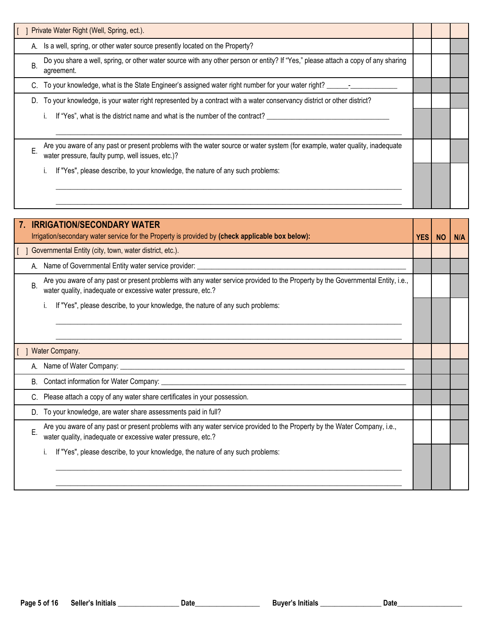|    | Private Water Right (Well, Spring, ect.).                                                                                                                                       |  |  |
|----|---------------------------------------------------------------------------------------------------------------------------------------------------------------------------------|--|--|
|    | A. Is a well, spring, or other water source presently located on the Property?                                                                                                  |  |  |
| B  | Do you share a well, spring, or other water source with any other person or entity? If "Yes," please attach a copy of any sharing<br>agreement.                                 |  |  |
|    | C. To your knowledge, what is the State Engineer's assigned water right number for your water right?                                                                            |  |  |
| D. | To your knowledge, is your water right represented by a contract with a water conservancy district or other district?                                                           |  |  |
|    | If "Yes", what is the district name and what is the number of the contract?                                                                                                     |  |  |
|    |                                                                                                                                                                                 |  |  |
|    | Are you aware of any past or present problems with the water source or water system (for example, water quality, inadequate<br>water pressure, faulty pump, well issues, etc.)? |  |  |
|    | If "Yes", please describe, to your knowledge, the nature of any such problems:                                                                                                  |  |  |
|    |                                                                                                                                                                                 |  |  |

|    | <b>IRRIGATION/SECONDARY WATER</b>                                                                                                                                                               |            |           |            |
|----|-------------------------------------------------------------------------------------------------------------------------------------------------------------------------------------------------|------------|-----------|------------|
|    | Irrigation/secondary water service for the Property is provided by (check applicable box below):                                                                                                | <b>YES</b> | <b>NO</b> | <b>N/A</b> |
|    | Governmental Entity (city, town, water district, etc.).                                                                                                                                         |            |           |            |
|    | A. Name of Governmental Entity water service provider:                                                                                                                                          |            |           |            |
| В. | Are you aware of any past or present problems with any water service provided to the Property by the Governmental Entity, i.e.,<br>water quality, inadequate or excessive water pressure, etc.? |            |           |            |
|    | If "Yes", please describe, to your knowledge, the nature of any such problems:                                                                                                                  |            |           |            |
|    |                                                                                                                                                                                                 |            |           |            |
|    |                                                                                                                                                                                                 |            |           |            |
|    | Water Company.                                                                                                                                                                                  |            |           |            |
|    | A. Name of Water Company: __<br><u> 1980 - John Stein, Amerikaansk politiker (</u> † 1920)                                                                                                      |            |           |            |
| В. |                                                                                                                                                                                                 |            |           |            |
|    | Please attach a copy of any water share certificates in your possession.                                                                                                                        |            |           |            |
|    | D. To your knowledge, are water share assessments paid in full?                                                                                                                                 |            |           |            |
| Е. | Are you aware of any past or present problems with any water service provided to the Property by the Water Company, i.e.,<br>water quality, inadequate or excessive water pressure, etc.?       |            |           |            |
|    | If "Yes", please describe, to your knowledge, the nature of any such problems:                                                                                                                  |            |           |            |
|    |                                                                                                                                                                                                 |            |           |            |
|    |                                                                                                                                                                                                 |            |           |            |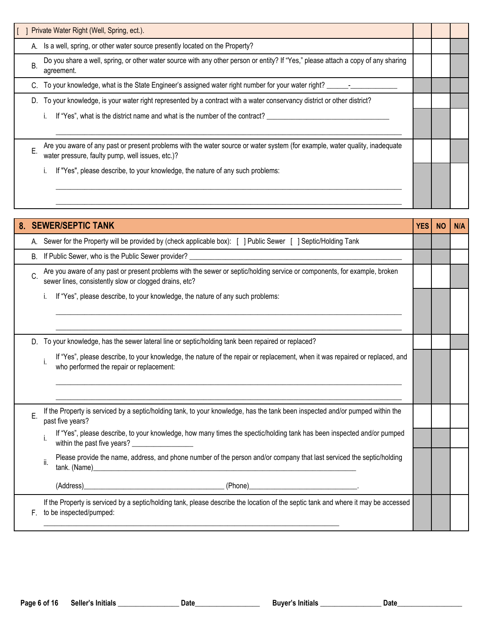|    | Private Water Right (Well, Spring, ect.).                                                                                                                                       |  |  |
|----|---------------------------------------------------------------------------------------------------------------------------------------------------------------------------------|--|--|
|    | A. Is a well, spring, or other water source presently located on the Property?                                                                                                  |  |  |
| Β. | Do you share a well, spring, or other water source with any other person or entity? If "Yes," please attach a copy of any sharing<br>agreement.                                 |  |  |
|    | C. To your knowledge, what is the State Engineer's assigned water right number for your water right?                                                                            |  |  |
| D. | To your knowledge, is your water right represented by a contract with a water conservancy district or other district?                                                           |  |  |
|    | If "Yes", what is the district name and what is the number of the contract?                                                                                                     |  |  |
|    |                                                                                                                                                                                 |  |  |
|    | Are you aware of any past or present problems with the water source or water system (for example, water quality, inadequate<br>water pressure, faulty pump, well issues, etc.)? |  |  |
|    | If "Yes", please describe, to your knowledge, the nature of any such problems:                                                                                                  |  |  |
|    |                                                                                                                                                                                 |  |  |
|    |                                                                                                                                                                                 |  |  |

| 8. |    | <b>SEWER/SEPTIC TANK</b>                                                                                                                                                            | <b>YES</b> | <b>NO</b> | N/A |
|----|----|-------------------------------------------------------------------------------------------------------------------------------------------------------------------------------------|------------|-----------|-----|
|    |    | A. Sewer for the Property will be provided by (check applicable box): [ ] Public Sewer [ ] Septic/Holding Tank                                                                      |            |           |     |
|    | B. |                                                                                                                                                                                     |            |           |     |
|    | C. | Are you aware of any past or present problems with the sewer or septic/holding service or components, for example, broken<br>sewer lines, consistently slow or clogged drains, etc? |            |           |     |
|    |    | If "Yes", please describe, to your knowledge, the nature of any such problems:<br>İ.                                                                                                |            |           |     |
|    |    |                                                                                                                                                                                     |            |           |     |
|    |    | D. To your knowledge, has the sewer lateral line or septic/holding tank been repaired or replaced?                                                                                  |            |           |     |
|    |    | If "Yes", please describe, to your knowledge, the nature of the repair or replacement, when it was repaired or replaced, and<br>i.<br>who performed the repair or replacement:      |            |           |     |
|    |    | If the Property is serviced by a septic/holding tank, to your knowledge, has the tank been inspected and/or pumped within the                                                       |            |           |     |
|    | Е. | past five years?                                                                                                                                                                    |            |           |     |
|    |    | If "Yes", please describe, to your knowledge, how many times the spectic/holding tank has been inspected and/or pumped<br>within the past five years?                               |            |           |     |
|    |    | Please provide the name, address, and phone number of the person and/or company that last serviced the septic/holding<br>ii.<br>tank. (Name)                                        |            |           |     |
|    |    |                                                                                                                                                                                     |            |           |     |
|    | F. | If the Property is serviced by a septic/holding tank, please describe the location of the septic tank and where it may be accessed<br>to be inspected/pumped:                       |            |           |     |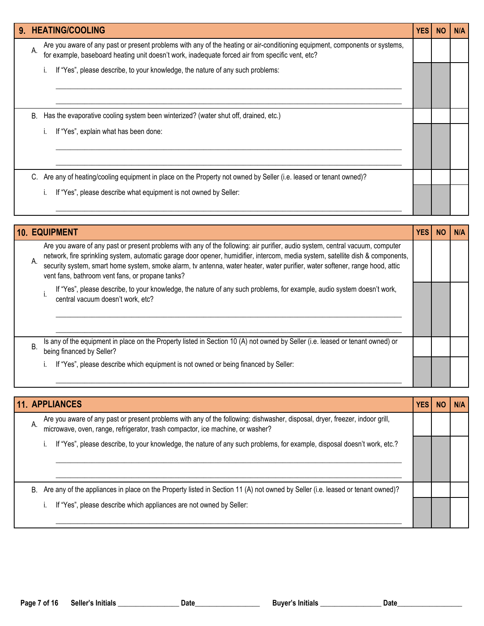| 9. HEATING/COOLING                                                                                                                                                                                                                    | <b>YES</b> | <b>NO</b> | N/A |
|---------------------------------------------------------------------------------------------------------------------------------------------------------------------------------------------------------------------------------------|------------|-----------|-----|
| Are you aware of any past or present problems with any of the heating or air-conditioning equipment, components or systems,<br>А.<br>for example, baseboard heating unit doesn't work, inadequate forced air from specific vent, etc? |            |           |     |
| If "Yes", please describe, to your knowledge, the nature of any such problems:                                                                                                                                                        |            |           |     |
| Has the evaporative cooling system been winterized? (water shut off, drained, etc.)<br>В.                                                                                                                                             |            |           |     |
| If "Yes", explain what has been done:                                                                                                                                                                                                 |            |           |     |
| Are any of heating/cooling equipment in place on the Property not owned by Seller (i.e. leased or tenant owned)?                                                                                                                      |            |           |     |
| If "Yes", please describe what equipment is not owned by Seller:                                                                                                                                                                      |            |           |     |

| <b>10. EQUIPMENT</b>                                                                                                                                                                                                                                                                                                                                                                                                                                       | YES | <b>NO</b> | N/A |
|------------------------------------------------------------------------------------------------------------------------------------------------------------------------------------------------------------------------------------------------------------------------------------------------------------------------------------------------------------------------------------------------------------------------------------------------------------|-----|-----------|-----|
| Are you aware of any past or present problems with any of the following: air purifier, audio system, central vacuum, computer<br>network, fire sprinkling system, automatic garage door opener, humidifier, intercom, media system, satellite dish & components,<br>А.<br>security system, smart home system, smoke alarm, tv antenna, water heater, water purifier, water softener, range hood, attic<br>vent fans, bathroom vent fans, or propane tanks? |     |           |     |
| If "Yes", please describe, to your knowledge, the nature of any such problems, for example, audio system doesn't work,<br>central vacuum doesn't work, etc?                                                                                                                                                                                                                                                                                                |     |           |     |
| Is any of the equipment in place on the Property listed in Section 10 (A) not owned by Seller (i.e. leased or tenant owned) or<br>Β.<br>being financed by Seller?                                                                                                                                                                                                                                                                                          |     |           |     |
| If "Yes", please describe which equipment is not owned or being financed by Seller:                                                                                                                                                                                                                                                                                                                                                                        |     |           |     |

|    | <b>11. APPLIANCES</b>                                                                                                                                                                                       | YES | NO | N/A |
|----|-------------------------------------------------------------------------------------------------------------------------------------------------------------------------------------------------------------|-----|----|-----|
| А. | Are you aware of any past or present problems with any of the following: dishwasher, disposal, dryer, freezer, indoor grill, microwave, oven, range, refrigerator, trash compactor, ice machine, or washer? |     |    |     |
|    | If "Yes", please describe, to your knowledge, the nature of any such problems, for example, disposal doesn't work, etc.?                                                                                    |     |    |     |
| В. | Are any of the appliances in place on the Property listed in Section 11 (A) not owned by Seller (i.e. leased or tenant owned)?                                                                              |     |    |     |
|    | If "Yes", please describe which appliances are not owned by Seller:                                                                                                                                         |     |    |     |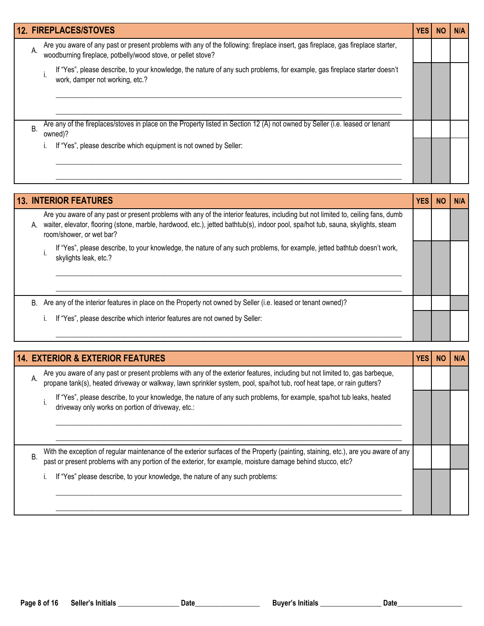|    | <b>12. FIREPLACES/STOVES</b>                                                                                                                                                                     | <b>YES</b> | <b>NO</b> | N/A |
|----|--------------------------------------------------------------------------------------------------------------------------------------------------------------------------------------------------|------------|-----------|-----|
| А. | Are you aware of any past or present problems with any of the following: fireplace insert, gas fireplace, gas fireplace starter,<br>woodburning fireplace, potbelly/wood stove, or pellet stove? |            |           |     |
|    | If "Yes", please describe, to your knowledge, the nature of any such problems, for example, gas fireplace starter doesn't<br>work, damper not working, etc.?                                     |            |           |     |
| Β. | Are any of the fireplaces/stoves in place on the Property listed in Section 12 (A) not owned by Seller (i.e. leased or tenant<br>owned)?                                                         |            |           |     |
|    | If "Yes", please describe which equipment is not owned by Seller:                                                                                                                                |            |           |     |

|    | <b>13. INTERIOR FEATURES</b>                                                                                                                                                                                                                                                                      | <b>YES</b> | <b>NO</b> | N/A |
|----|---------------------------------------------------------------------------------------------------------------------------------------------------------------------------------------------------------------------------------------------------------------------------------------------------|------------|-----------|-----|
| А. | Are you aware of any past or present problems with any of the interior features, including but not limited to, ceiling fans, dumb<br>waiter, elevator, flooring (stone, marble, hardwood, etc.), jetted bathtub(s), indoor pool, spa/hot tub, sauna, skylights, steam<br>room/shower, or wet bar? |            |           |     |
|    | If "Yes", please describe, to your knowledge, the nature of any such problems, for example, jetted bathtub doesn't work,<br>skylights leak, etc.?                                                                                                                                                 |            |           |     |
| В. | Are any of the interior features in place on the Property not owned by Seller (i.e. leased or tenant owned)?                                                                                                                                                                                      |            |           |     |
|    | If "Yes", please describe which interior features are not owned by Seller:                                                                                                                                                                                                                        |            |           |     |

|    | <b>14. EXTERIOR &amp; EXTERIOR FEATURES</b>                                                                                                                                                                                                        | <b>YES</b> | N/A |
|----|----------------------------------------------------------------------------------------------------------------------------------------------------------------------------------------------------------------------------------------------------|------------|-----|
| А. | Are you aware of any past or present problems with any of the exterior features, including but not limited to, gas barbeque, propane tank(s), heated driveway or walkway, lawn sprinkler system, pool, spa/hot tub, roof heat                      |            |     |
|    | If "Yes", please describe, to your knowledge, the nature of any such problems, for example, spa/hot tub leaks, heated<br>driveway only works on portion of driveway, etc.:                                                                         |            |     |
| Β. | With the exception of regular maintenance of the exterior surfaces of the Property (painting, staining, etc.), are you aware of any<br>past or present problems with any portion of the exterior, for example, moisture damage behind stucco, etc? |            |     |
|    | If "Yes" please describe, to your knowledge, the nature of any such problems:                                                                                                                                                                      |            |     |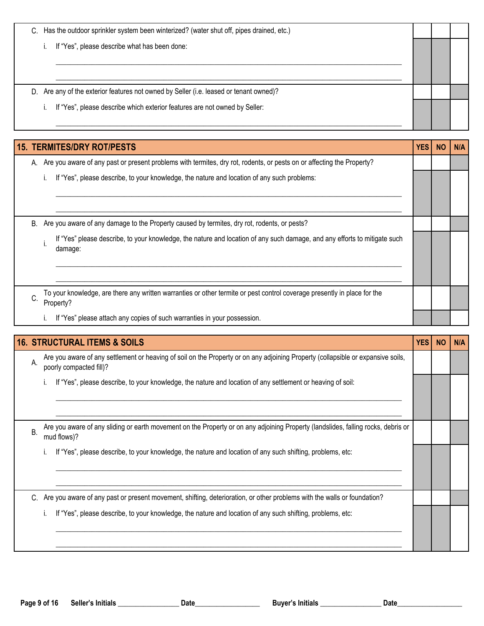| Has the outdoor sprinkler system been winterized? (water shut off, pipes drained, etc.)<br>C. |  |  |
|-----------------------------------------------------------------------------------------------|--|--|
| If "Yes", please describe what has been done:                                                 |  |  |
|                                                                                               |  |  |
|                                                                                               |  |  |
| Are any of the exterior features not owned by Seller (i.e. leased or tenant owned)?<br>D.     |  |  |
| If "Yes", please describe which exterior features are not owned by Seller:                    |  |  |
|                                                                                               |  |  |

| <b>15. TERMITES/DRY ROT/PESTS</b>                                                                                                           | <b>YES</b> | <b>NO</b> | <b>N/A</b> |
|---------------------------------------------------------------------------------------------------------------------------------------------|------------|-----------|------------|
| Are you aware of any past or present problems with termites, dry rot, rodents, or pests on or affecting the Property?<br>А.                 |            |           |            |
| If "Yes", please describe, to your knowledge, the nature and location of any such problems:                                                 |            |           |            |
|                                                                                                                                             |            |           |            |
|                                                                                                                                             |            |           |            |
| Are you aware of any damage to the Property caused by termites, dry rot, rodents, or pests?<br>В.                                           |            |           |            |
| If "Yes" please describe, to your knowledge, the nature and location of any such damage, and any efforts to mitigate such<br>damage:        |            |           |            |
|                                                                                                                                             |            |           |            |
| To your knowledge, are there any written warranties or other termite or pest control coverage presently in place for the<br>C.<br>Property? |            |           |            |
| If "Yes" please attach any copies of such warranties in your possession.                                                                    |            |           |            |

|    | <b>16. STRUCTURAL ITEMS &amp; SOILS</b>                                                                                                                     | YES | <b>NO</b> | <b>N/A</b> |
|----|-------------------------------------------------------------------------------------------------------------------------------------------------------------|-----|-----------|------------|
| А. | Are you aware of any settlement or heaving of soil on the Property or on any adjoining Property (collapsible or expansive soils,<br>poorly compacted fill)? |     |           |            |
|    | If "Yes", please describe, to your knowledge, the nature and location of any settlement or heaving of soil:                                                 |     |           |            |
| Β. | Are you aware of any sliding or earth movement on the Property or on any adjoining Property (landslides, falling rocks, debris or<br>mud flows)?            |     |           |            |
|    | If "Yes", please describe, to your knowledge, the nature and location of any such shifting, problems, etc:                                                  |     |           |            |
| C. | Are you aware of any past or present movement, shifting, deterioration, or other problems with the walls or foundation?                                     |     |           |            |
|    | If "Yes", please describe, to your knowledge, the nature and location of any such shifting, problems, etc:<br>ı.                                            |     |           |            |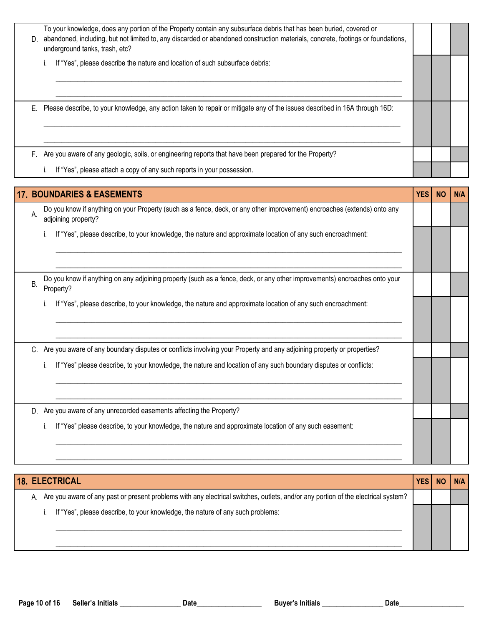| D. | To your knowledge, does any portion of the Property contain any subsurface debris that has been buried, covered or<br>abandoned, including, but not limited to, any discarded or abandoned construction materials, concrete, footings or foundations,<br>underground tanks, trash, etc? |  |  |
|----|-----------------------------------------------------------------------------------------------------------------------------------------------------------------------------------------------------------------------------------------------------------------------------------------|--|--|
|    | If "Yes", please describe the nature and location of such subsurface debris:                                                                                                                                                                                                            |  |  |
| Е. | Please describe, to your knowledge, any action taken to repair or mitigate any of the issues described in 16A through 16D:                                                                                                                                                              |  |  |
| F. | Are you aware of any geologic, soils, or engineering reports that have been prepared for the Property?                                                                                                                                                                                  |  |  |
|    | If "Yes", please attach a copy of any such reports in your possession.                                                                                                                                                                                                                  |  |  |

|           | <b>17. BOUNDARIES &amp; EASEMENTS</b>                                                                                                           | <b>YES</b> | <b>NO</b> | N/A |
|-----------|-------------------------------------------------------------------------------------------------------------------------------------------------|------------|-----------|-----|
| A.        | Do you know if anything on your Property (such as a fence, deck, or any other improvement) encroaches (extends) onto any<br>adjoining property? |            |           |     |
|           | If "Yes", please describe, to your knowledge, the nature and approximate location of any such encroachment:                                     |            |           |     |
| <b>B.</b> | Do you know if anything on any adjoining property (such as a fence, deck, or any other improvements) encroaches onto your<br>Property?          |            |           |     |
|           | If "Yes", please describe, to your knowledge, the nature and approximate location of any such encroachment:                                     |            |           |     |
|           |                                                                                                                                                 |            |           |     |
|           | C. Are you aware of any boundary disputes or conflicts involving your Property and any adjoining property or properties?                        |            |           |     |
|           | If "Yes" please describe, to your knowledge, the nature and location of any such boundary disputes or conflicts:<br>Τ.                          |            |           |     |
| D.        | Are you aware of any unrecorded easements affecting the Property?                                                                               |            |           |     |
|           | If "Yes" please describe, to your knowledge, the nature and approximate location of any such easement:<br>Τ.                                    |            |           |     |

| <b>18. ELECTRICAL</b>                                                                                                                | <b>YES</b> | <b>NO</b> | <b>N/A</b> |
|--------------------------------------------------------------------------------------------------------------------------------------|------------|-----------|------------|
| A. Are you aware of any past or present problems with any electrical switches, outlets, and/or any portion of the electrical system? |            |           |            |
| If "Yes", please describe, to your knowledge, the nature of any such problems:                                                       |            |           |            |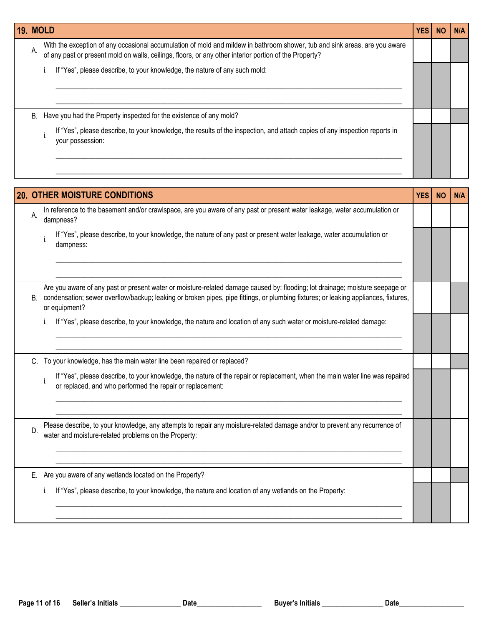|    | <b>19. MOLD</b>                                                                                                                                                                                                                      | YES        | <b>NO</b> | N/A |
|----|--------------------------------------------------------------------------------------------------------------------------------------------------------------------------------------------------------------------------------------|------------|-----------|-----|
| А. | With the exception of any occasional accumulation of mold and mildew in bathroom shower, tub and sink areas, are you aware<br>of any past or present mold on walls, ceilings, floors, or any other interior portion of the Property? |            |           |     |
|    | If "Yes", please describe, to your knowledge, the nature of any such mold:<br>i.                                                                                                                                                     |            |           |     |
|    |                                                                                                                                                                                                                                      |            |           |     |
| В. | Have you had the Property inspected for the existence of any mold?                                                                                                                                                                   |            |           |     |
|    | If "Yes", please describe, to your knowledge, the results of the inspection, and attach copies of any inspection reports in<br>your possession:                                                                                      |            |           |     |
|    |                                                                                                                                                                                                                                      |            |           |     |
|    | <b>20. OTHER MOISTURE CONDITIONS</b>                                                                                                                                                                                                 | <b>YES</b> | <b>NO</b> | N/A |
| А. | In reference to the basement and/or crawlspace, are you aware of any past or present water leakage, water accumulation or<br>dampness?                                                                                               |            |           |     |
|    | If "Yes", please describe, to your knowledge, the nature of any past or present water leakage, water accumulation or<br>dampness:                                                                                                    |            |           |     |
|    | Are you aware of any past or present water or moisture-related damage caused by: flooding; lot drainage; moisture seepage or                                                                                                         |            |           |     |
| В. | condensation; sewer overflow/backup; leaking or broken pipes, pipe fittings, or plumbing fixtures; or leaking appliances, fixtures,<br>or equipment?                                                                                 |            |           |     |
|    | If "Yes", please describe, to your knowledge, the nature and location of any such water or moisture-related damage:                                                                                                                  |            |           |     |
|    | C. To your knowledge, has the main water line been repaired or replaced?                                                                                                                                                             |            |           |     |
|    | If "Yes", please describe, to your knowledge, the nature of the repair or replacement, when the main water line was repaired<br>or replaced, and who performed the repair or replacement:                                            |            |           |     |
|    |                                                                                                                                                                                                                                      |            |           |     |
| D. | Please describe, to your knowledge, any attempts to repair any moisture-related damage and/or to prevent any recurrence of<br>water and moisture-related problems on the Property:                                                   |            |           |     |
| Е. | Are you aware of any wetlands located on the Property?                                                                                                                                                                               |            |           |     |
|    | If "Yes", please describe, to your knowledge, the nature and location of any wetlands on the Property:<br>İ.                                                                                                                         |            |           |     |
|    |                                                                                                                                                                                                                                      |            |           |     |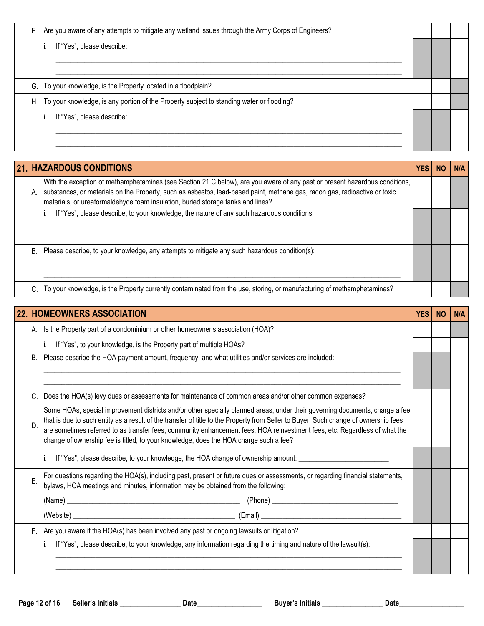F. Are you aware of any attempts to mitigate any wetland issues through the Army Corps of Engineers?

i. If "Yes", please describe:

G. To your knowledge, is the Property located in a floodplain?

H To your knowledge, is any portion of the Property subject to standing water or flooding?

i. If "Yes", please describe:

| 21. HAZARDOUS CONDITIONS<br>YES |                                                                                                                                                                                                                                                                                                                                              |  |  |  |  |  |  |
|---------------------------------|----------------------------------------------------------------------------------------------------------------------------------------------------------------------------------------------------------------------------------------------------------------------------------------------------------------------------------------------|--|--|--|--|--|--|
| А.                              | With the exception of methamphetamines (see Section 21.C below), are you aware of any past or present hazardous conditions,<br>substances, or materials on the Property, such as asbestos, lead-based paint, methane gas, radon gas, radioactive or toxic<br>materials, or ureaformaldehyde foam insulation, buried storage tanks and lines? |  |  |  |  |  |  |
|                                 | If "Yes", please describe, to your knowledge, the nature of any such hazardous conditions:                                                                                                                                                                                                                                                   |  |  |  |  |  |  |
| В.                              | Please describe, to your knowledge, any attempts to mitigate any such hazardous condition(s):                                                                                                                                                                                                                                                |  |  |  |  |  |  |
|                                 | To your knowledge, is the Property currently contaminated from the use, storing, or manufacturing of methamphetamines?                                                                                                                                                                                                                       |  |  |  |  |  |  |

\_\_\_\_\_\_\_\_\_\_\_\_\_\_\_\_\_\_\_\_\_\_\_\_\_\_\_\_\_\_\_\_\_\_\_\_\_\_\_\_\_\_\_\_\_\_\_\_\_\_\_\_\_\_\_\_\_\_\_\_\_\_\_\_\_\_\_\_\_\_\_\_\_\_\_\_\_\_\_\_\_\_\_\_\_\_\_\_\_\_\_\_\_\_\_\_ \_\_\_\_\_\_\_\_\_\_\_\_\_\_\_\_\_\_\_\_\_\_\_\_\_\_\_\_\_\_\_\_\_\_\_\_\_\_\_\_\_\_\_\_\_\_\_\_\_\_\_\_\_\_\_\_\_\_\_\_\_\_\_\_\_\_\_\_\_\_\_\_\_\_\_\_\_\_\_\_\_\_\_\_\_\_\_\_\_\_\_\_\_\_\_\_

\_\_\_\_\_\_\_\_\_\_\_\_\_\_\_\_\_\_\_\_\_\_\_\_\_\_\_\_\_\_\_\_\_\_\_\_\_\_\_\_\_\_\_\_\_\_\_\_\_\_\_\_\_\_\_\_\_\_\_\_\_\_\_\_\_\_\_\_\_\_\_\_\_\_\_\_\_\_\_\_\_\_\_\_\_\_\_\_\_\_\_\_\_\_\_\_ \_\_\_\_\_\_\_\_\_\_\_\_\_\_\_\_\_\_\_\_\_\_\_\_\_\_\_\_\_\_\_\_\_\_\_\_\_\_\_\_\_\_\_\_\_\_\_\_\_\_\_\_\_\_\_\_\_\_\_\_\_\_\_\_\_\_\_\_\_\_\_\_\_\_\_\_\_\_\_\_\_\_\_\_\_\_\_\_\_\_\_\_\_\_\_\_

| <b>22. HOMEOWNERS ASSOCIATION</b><br><b>YES</b>                                                                                                                                                                                                                                                                                                                                                                                                                                                  |                                                                                                                                                                                                                 |  |  |  |  |  |  |  |
|--------------------------------------------------------------------------------------------------------------------------------------------------------------------------------------------------------------------------------------------------------------------------------------------------------------------------------------------------------------------------------------------------------------------------------------------------------------------------------------------------|-----------------------------------------------------------------------------------------------------------------------------------------------------------------------------------------------------------------|--|--|--|--|--|--|--|
| Is the Property part of a condominium or other homeowner's association (HOA)?<br>А.                                                                                                                                                                                                                                                                                                                                                                                                              |                                                                                                                                                                                                                 |  |  |  |  |  |  |  |
|                                                                                                                                                                                                                                                                                                                                                                                                                                                                                                  | If "Yes", to your knowledge, is the Property part of multiple HOAs?                                                                                                                                             |  |  |  |  |  |  |  |
| B <sub>1</sub>                                                                                                                                                                                                                                                                                                                                                                                                                                                                                   | Please describe the HOA payment amount, frequency, and what utilities and/or services are included: _________                                                                                                   |  |  |  |  |  |  |  |
|                                                                                                                                                                                                                                                                                                                                                                                                                                                                                                  |                                                                                                                                                                                                                 |  |  |  |  |  |  |  |
|                                                                                                                                                                                                                                                                                                                                                                                                                                                                                                  | Does the HOA(s) levy dues or assessments for maintenance of common areas and/or other common expenses?                                                                                                          |  |  |  |  |  |  |  |
| Some HOAs, special improvement districts and/or other specially planned areas, under their governing documents, charge a fee<br>that is due to such entity as a result of the transfer of title to the Property from Seller to Buyer. Such change of ownership fees<br>D.<br>are sometimes referred to as transfer fees, community enhancement fees, HOA reinvestment fees, etc. Regardless of what the<br>change of ownership fee is titled, to your knowledge, does the HOA charge such a fee? |                                                                                                                                                                                                                 |  |  |  |  |  |  |  |
|                                                                                                                                                                                                                                                                                                                                                                                                                                                                                                  | If "Yes", please describe, to your knowledge, the HOA change of ownership amount:                                                                                                                               |  |  |  |  |  |  |  |
| E.                                                                                                                                                                                                                                                                                                                                                                                                                                                                                               | For questions regarding the HOA(s), including past, present or future dues or assessments, or regarding financial statements, bylaws, HOA meetings and minutes, information may be obtained from the following: |  |  |  |  |  |  |  |
|                                                                                                                                                                                                                                                                                                                                                                                                                                                                                                  |                                                                                                                                                                                                                 |  |  |  |  |  |  |  |
|                                                                                                                                                                                                                                                                                                                                                                                                                                                                                                  |                                                                                                                                                                                                                 |  |  |  |  |  |  |  |
|                                                                                                                                                                                                                                                                                                                                                                                                                                                                                                  | F. Are you aware if the HOA(s) has been involved any past or ongoing lawsuits or litigation?                                                                                                                    |  |  |  |  |  |  |  |
|                                                                                                                                                                                                                                                                                                                                                                                                                                                                                                  | If "Yes", please describe, to your knowledge, any information regarding the timing and nature of the lawsuit(s):                                                                                                |  |  |  |  |  |  |  |
|                                                                                                                                                                                                                                                                                                                                                                                                                                                                                                  |                                                                                                                                                                                                                 |  |  |  |  |  |  |  |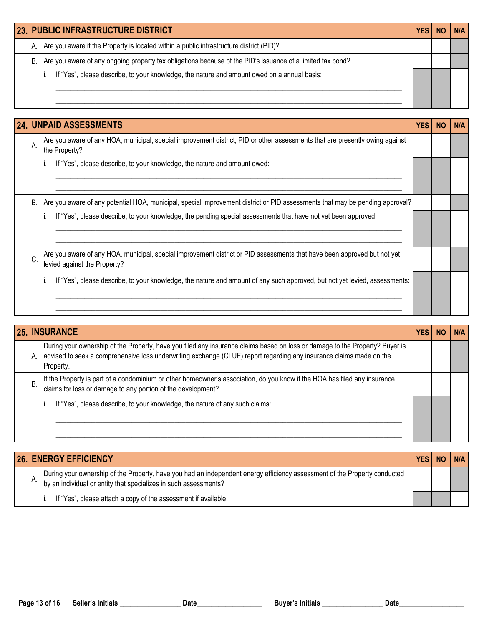| <b>23. PUBLIC INFRASTRUCTURE DISTRICT</b> |                                                                                                               |  |  |  |  |  |
|-------------------------------------------|---------------------------------------------------------------------------------------------------------------|--|--|--|--|--|
|                                           | A. Are you aware if the Property is located within a public infrastructure district (PID)?                    |  |  |  |  |  |
|                                           | B. Are you aware of any ongoing property tax obligations because of the PID's issuance of a limited tax bond? |  |  |  |  |  |
|                                           | If "Yes", please describe, to your knowledge, the nature and amount owed on a annual basis:                   |  |  |  |  |  |
|                                           |                                                                                                               |  |  |  |  |  |
|                                           |                                                                                                               |  |  |  |  |  |

|                                                                                                                                                     | <b>24. UNPAID ASSESSMENTS</b>                                                                                                                            | <b>YES</b> | <b>NO</b> | N/A |
|-----------------------------------------------------------------------------------------------------------------------------------------------------|----------------------------------------------------------------------------------------------------------------------------------------------------------|------------|-----------|-----|
| Are you aware of any HOA, municipal, special improvement district, PID or other assessments that are presently owing against<br>Α.<br>the Property? |                                                                                                                                                          |            |           |     |
|                                                                                                                                                     | If "Yes", please describe, to your knowledge, the nature and amount owed:                                                                                |            |           |     |
| B.                                                                                                                                                  | Are you aware of any potential HOA, municipal, special improvement district or PID assessments that may be pending approval?                             |            |           |     |
|                                                                                                                                                     | If "Yes", please describe, to your knowledge, the pending special assessments that have not yet been approved:                                           |            |           |     |
| C.                                                                                                                                                  | Are you aware of any HOA, municipal, special improvement district or PID assessments that have been approved but not yet<br>levied against the Property? |            |           |     |
|                                                                                                                                                     | If "Yes", please describe, to your knowledge, the nature and amount of any such approved, but not yet levied, assessments:                               |            |           |     |

|    | <b>25. INSURANCE</b>                                                                                                                                                                                                                                             | <b>YES</b> |  |
|----|------------------------------------------------------------------------------------------------------------------------------------------------------------------------------------------------------------------------------------------------------------------|------------|--|
| А. | During your ownership of the Property, have you filed any insurance claims based on loss or damage to the Property? Buyer is<br>advised to seek a comprehensive loss underwriting exchange (CLUE) report regarding any insurance claims made on the<br>Property. |            |  |
| В. | If the Property is part of a condominium or other homeowner's association, do you know if the HOA has filed any insurance<br>claims for loss or damage to any portion of the development?                                                                        |            |  |
|    | If "Yes", please describe, to your knowledge, the nature of any such claims:                                                                                                                                                                                     |            |  |

| <b>26. ENERGY EFFICIENCY</b>                                                                                                                                                                  | <b>YES</b> | <b>NO</b> |  |
|-----------------------------------------------------------------------------------------------------------------------------------------------------------------------------------------------|------------|-----------|--|
| During your ownership of the Property, have you had an independent energy efficiency assessment of the Property conducted<br>by an individual or entity that specializes in such assessments? |            |           |  |
| If "Yes", please attach a copy of the assessment if available.                                                                                                                                |            |           |  |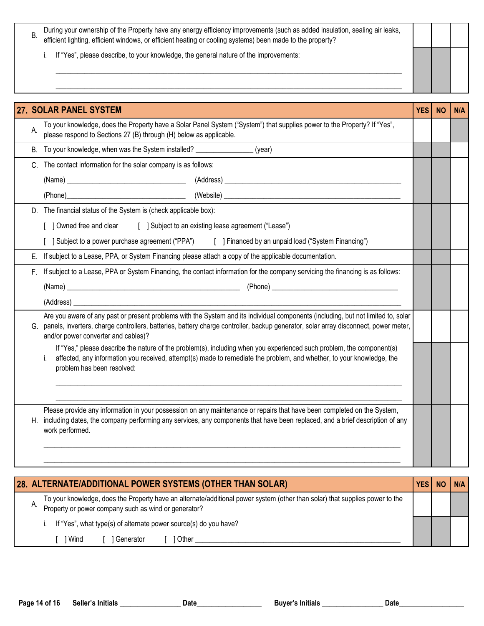| During your ownership of the Property have any energy efficiency improvements (such as added insulation, sealing air leaks, efficient lighting, efficient windows, or efficient heating or cooling systems) been made to the p |  |  |
|--------------------------------------------------------------------------------------------------------------------------------------------------------------------------------------------------------------------------------|--|--|
| If "Yes", please describe, to your knowledge, the general nature of the improvements:                                                                                                                                          |  |  |
|                                                                                                                                                                                                                                |  |  |

|    | 27. SOLAR PANEL SYSTEM<br><b>YES</b>                                                                                                                                                                                                                                                                               |  |  |  |  |  |  |  |
|----|--------------------------------------------------------------------------------------------------------------------------------------------------------------------------------------------------------------------------------------------------------------------------------------------------------------------|--|--|--|--|--|--|--|
| А. | To your knowledge, does the Property have a Solar Panel System ("System") that supplies power to the Property? If "Yes",<br>please respond to Sections 27 (B) through (H) below as applicable.                                                                                                                     |  |  |  |  |  |  |  |
| В. | To your knowledge, when was the System installed? __________________ (year)                                                                                                                                                                                                                                        |  |  |  |  |  |  |  |
| C. | The contact information for the solar company is as follows:                                                                                                                                                                                                                                                       |  |  |  |  |  |  |  |
|    |                                                                                                                                                                                                                                                                                                                    |  |  |  |  |  |  |  |
|    |                                                                                                                                                                                                                                                                                                                    |  |  |  |  |  |  |  |
|    | D. The financial status of the System is (check applicable box):                                                                                                                                                                                                                                                   |  |  |  |  |  |  |  |
|    | [ ] Subject to an existing lease agreement ("Lease")<br>[ ] Owned free and clear                                                                                                                                                                                                                                   |  |  |  |  |  |  |  |
|    | Subject to a power purchase agreement ("PPA") [ ] Financed by an unpaid load ("System Financing")                                                                                                                                                                                                                  |  |  |  |  |  |  |  |
| Е. | If subject to a Lease, PPA, or System Financing please attach a copy of the applicable documentation.                                                                                                                                                                                                              |  |  |  |  |  |  |  |
| F. | If subject to a Lease, PPA or System Financing, the contact information for the company servicing the financing is as follows:                                                                                                                                                                                     |  |  |  |  |  |  |  |
|    |                                                                                                                                                                                                                                                                                                                    |  |  |  |  |  |  |  |
|    |                                                                                                                                                                                                                                                                                                                    |  |  |  |  |  |  |  |
|    | Are you aware of any past or present problems with the System and its individual components (including, but not limited to, solar<br>G. panels, inverters, charge controllers, batteries, battery charge controller, backup generator, solar array disconnect, power meter,<br>and/or power converter and cables)? |  |  |  |  |  |  |  |
|    | If "Yes," please describe the nature of the problem(s), including when you experienced such problem, the component(s)<br>affected, any information you received, attempt(s) made to remediate the problem, and whether, to your knowledge, the<br>i.<br>problem has been resolved:                                 |  |  |  |  |  |  |  |
| Η. | Please provide any information in your possession on any maintenance or repairs that have been completed on the System,<br>including dates, the company performing any services, any components that have been replaced, and a brief description of any<br>work performed.                                         |  |  |  |  |  |  |  |

|                                                                                                                                                                                      |  |      |  | 28. ALTERNATE/ADDITIONAL POWER SYSTEMS (OTHER THAN SOLAR)        |  | NΩ |  |
|--------------------------------------------------------------------------------------------------------------------------------------------------------------------------------------|--|------|--|------------------------------------------------------------------|--|----|--|
| To your knowledge, does the Property have an alternate/additional power system (other than solar) that supplies power to the<br>Property or power company such as wind or generator? |  |      |  |                                                                  |  |    |  |
|                                                                                                                                                                                      |  |      |  | If "Yes", what type(s) of alternate power source(s) do you have? |  |    |  |
|                                                                                                                                                                                      |  | Wind |  | Other<br>l Generator                                             |  |    |  |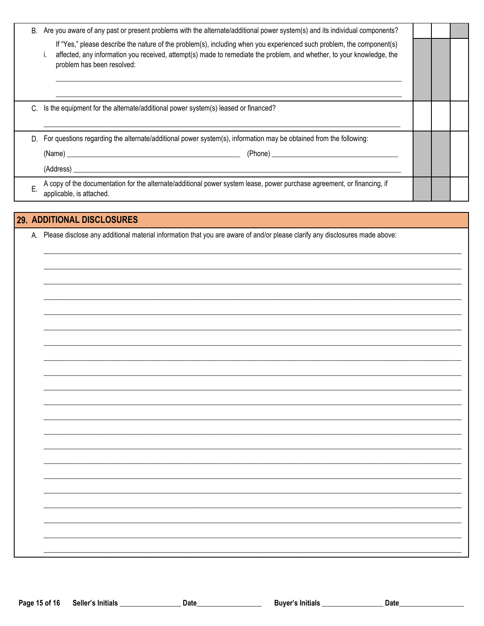| В. | Are you aware of any past or present problems with the alternate/additional power system(s) and its individual components?                                                                                                                                                   |  |  |
|----|------------------------------------------------------------------------------------------------------------------------------------------------------------------------------------------------------------------------------------------------------------------------------|--|--|
|    | If "Yes," please describe the nature of the problem(s), including when you experienced such problem, the component(s)<br>affected, any information you received, attempt(s) made to remediate the problem, and whether, to your knowledge, the<br>problem has been resolved: |  |  |
|    | Is the equipment for the alternate/additional power system(s) leased or financed?                                                                                                                                                                                            |  |  |
| D. | For questions regarding the alternate/additional power system(s), information may be obtained from the following:                                                                                                                                                            |  |  |
|    |                                                                                                                                                                                                                                                                              |  |  |
|    |                                                                                                                                                                                                                                                                              |  |  |
| E. | A copy of the documentation for the alternate/additional power system lease, power purchase agreement, or financing, if<br>applicable, is attached.                                                                                                                          |  |  |
|    |                                                                                                                                                                                                                                                                              |  |  |
|    | 29. ADDITIONAL DISCLOSURES                                                                                                                                                                                                                                                   |  |  |
|    | Please disclose any additional material information that you are aware of and/or please clarify any disclosures made above:                                                                                                                                                  |  |  |
|    |                                                                                                                                                                                                                                                                              |  |  |
|    |                                                                                                                                                                                                                                                                              |  |  |

 $\overline{\phantom{0}}$